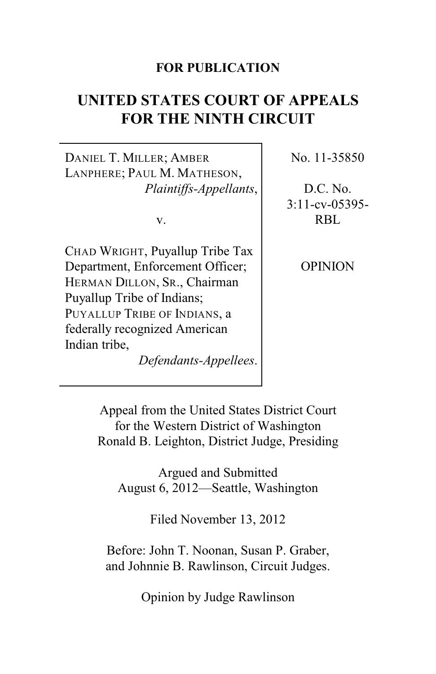#### **FOR PUBLICATION**

# **UNITED STATES COURT OF APPEALS FOR THE NINTH CIRCUIT**

DANIEL T. MILLER; AMBER LANPHERE; PAUL M. MATHESON, *Plaintiffs-Appellants*,

v.

CHAD WRIGHT, Puyallup Tribe Tax Department, Enforcement Officer; HERMAN DILLON, SR., Chairman Puyallup Tribe of Indians; PUYALLUP TRIBE OF INDIANS, a federally recognized American Indian tribe,

*Defendants-Appellees*.

No. 11-35850

D.C. No. 3:11-cv-05395- RBL

OPINION

Appeal from the United States District Court for the Western District of Washington Ronald B. Leighton, District Judge, Presiding

Argued and Submitted August 6, 2012—Seattle, Washington

Filed November 13, 2012

Before: John T. Noonan, Susan P. Graber, and Johnnie B. Rawlinson, Circuit Judges.

Opinion by Judge Rawlinson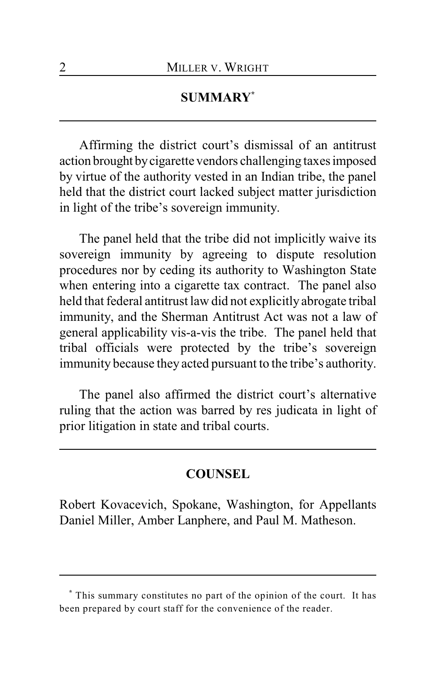### **SUMMARY \***

Affirming the district court's dismissal of an antitrust action brought by cigarette vendors challenging taxes imposed by virtue of the authority vested in an Indian tribe, the panel held that the district court lacked subject matter jurisdiction in light of the tribe's sovereign immunity.

The panel held that the tribe did not implicitly waive its sovereign immunity by agreeing to dispute resolution procedures nor by ceding its authority to Washington State when entering into a cigarette tax contract. The panel also held that federal antitrust law did not explicitly abrogate tribal immunity, and the Sherman Antitrust Act was not a law of general applicability vis-a-vis the tribe. The panel held that tribal officials were protected by the tribe's sovereign immunity because they acted pursuant to the tribe's authority.

The panel also affirmed the district court's alternative ruling that the action was barred by res judicata in light of prior litigation in state and tribal courts.

#### **COUNSEL**

Robert Kovacevich, Spokane, Washington, for Appellants Daniel Miller, Amber Lanphere, and Paul M. Matheson.

This summary constitutes no part of the opinion of the court. It has **\*** been prepared by court staff for the convenience of the reader.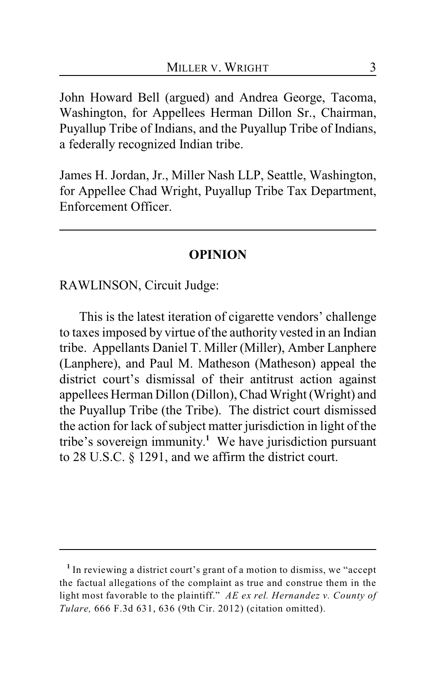John Howard Bell (argued) and Andrea George, Tacoma, Washington, for Appellees Herman Dillon Sr., Chairman, Puyallup Tribe of Indians, and the Puyallup Tribe of Indians, a federally recognized Indian tribe.

James H. Jordan, Jr., Miller Nash LLP, Seattle, Washington, for Appellee Chad Wright, Puyallup Tribe Tax Department, Enforcement Officer.

#### **OPINION**

RAWLINSON, Circuit Judge:

This is the latest iteration of cigarette vendors' challenge to taxes imposed by virtue of the authority vested in an Indian tribe. Appellants Daniel T. Miller (Miller), Amber Lanphere (Lanphere), and Paul M. Matheson (Matheson) appeal the district court's dismissal of their antitrust action against appellees Herman Dillon (Dillon), Chad Wright (Wright) and the Puyallup Tribe (the Tribe). The district court dismissed the action for lack of subject matter jurisdiction in light of the tribe's sovereign immunity.<sup>1</sup> We have jurisdiction pursuant to 28 U.S.C. § 1291, and we affirm the district court.

<sup>&</sup>lt;sup>1</sup> In reviewing a district court's grant of a motion to dismiss, we "accept the factual allegations of the complaint as true and construe them in the light most favorable to the plaintiff." *AE ex rel. Hernandez v. County of Tulare,* 666 F.3d 631, 636 (9th Cir. 2012) (citation omitted).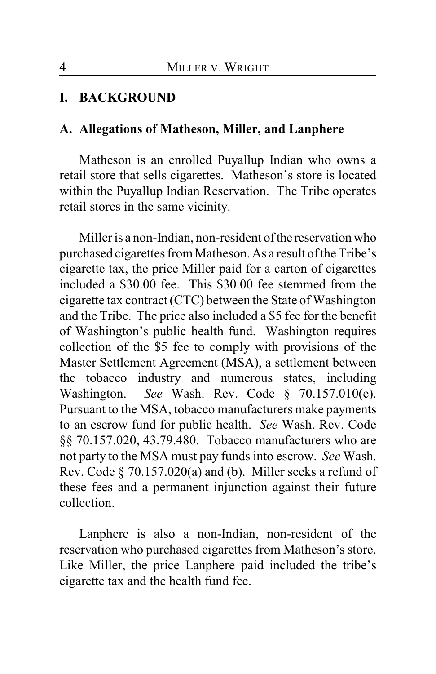### **I. BACKGROUND**

#### **A. Allegations of Matheson, Miller, and Lanphere**

Matheson is an enrolled Puyallup Indian who owns a retail store that sells cigarettes. Matheson's store is located within the Puyallup Indian Reservation. The Tribe operates retail stores in the same vicinity.

Miller is a non-Indian, non-resident of the reservation who purchased cigarettes from Matheson. As a result of the Tribe's cigarette tax, the price Miller paid for a carton of cigarettes included a \$30.00 fee. This \$30.00 fee stemmed from the cigarette tax contract (CTC) between the State of Washington and the Tribe. The price also included a \$5 fee for the benefit of Washington's public health fund. Washington requires collection of the \$5 fee to comply with provisions of the Master Settlement Agreement (MSA), a settlement between the tobacco industry and numerous states, including Washington. *See* Wash. Rev. Code § 70.157.010(e). Pursuant to the MSA, tobacco manufacturers make payments to an escrow fund for public health. *See* Wash. Rev. Code §§ 70.157.020, 43.79.480. Tobacco manufacturers who are not party to the MSA must pay funds into escrow. *See* Wash. Rev. Code § 70.157.020(a) and (b). Miller seeks a refund of these fees and a permanent injunction against their future collection.

Lanphere is also a non-Indian, non-resident of the reservation who purchased cigarettes from Matheson's store. Like Miller, the price Lanphere paid included the tribe's cigarette tax and the health fund fee.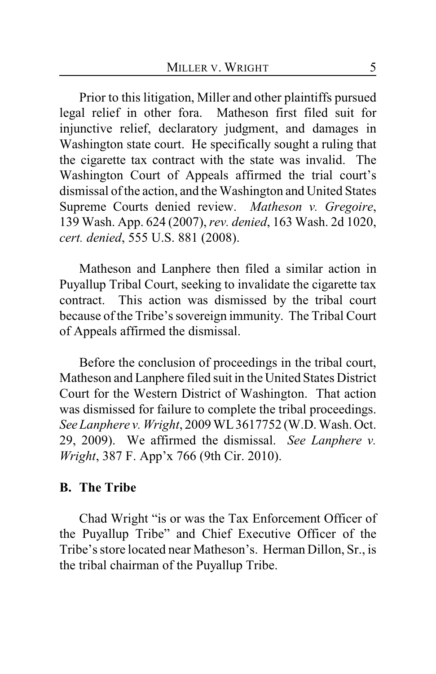Prior to this litigation, Miller and other plaintiffs pursued legal relief in other fora. Matheson first filed suit for injunctive relief, declaratory judgment, and damages in Washington state court. He specifically sought a ruling that the cigarette tax contract with the state was invalid. The Washington Court of Appeals affirmed the trial court's dismissal of the action, and the Washington and United States Supreme Courts denied review. *Matheson v. Gregoire*, 139 Wash. App. 624 (2007), *rev. denied*, 163 Wash. 2d 1020, *cert. denied*, 555 U.S. 881 (2008).

Matheson and Lanphere then filed a similar action in Puyallup Tribal Court, seeking to invalidate the cigarette tax contract. This action was dismissed by the tribal court because of the Tribe's sovereign immunity. The Tribal Court of Appeals affirmed the dismissal.

Before the conclusion of proceedings in the tribal court, Matheson and Lanphere filed suit in the United States District Court for the Western District of Washington. That action was dismissed for failure to complete the tribal proceedings. *See Lanphere v. Wright*, 2009 WL 3617752 (W.D. Wash. Oct. 29, 2009). We affirmed the dismissal. *See Lanphere v. Wright*, 387 F. App'x 766 (9th Cir. 2010).

#### **B. The Tribe**

Chad Wright "is or was the Tax Enforcement Officer of the Puyallup Tribe" and Chief Executive Officer of the Tribe's store located near Matheson's. Herman Dillon, Sr., is the tribal chairman of the Puyallup Tribe.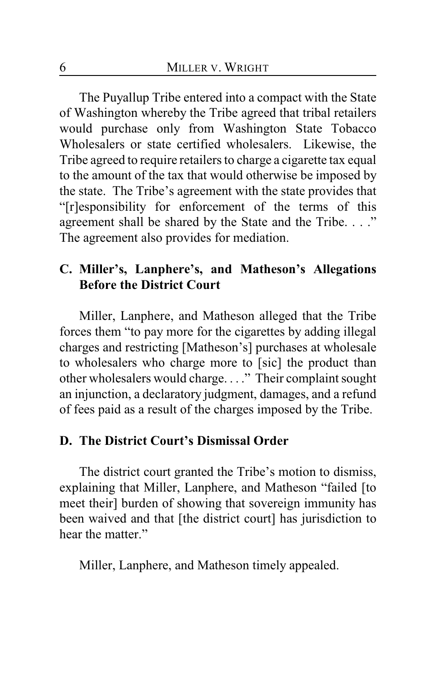The Puyallup Tribe entered into a compact with the State of Washington whereby the Tribe agreed that tribal retailers would purchase only from Washington State Tobacco Wholesalers or state certified wholesalers. Likewise, the Tribe agreed to require retailers to charge a cigarette tax equal to the amount of the tax that would otherwise be imposed by the state. The Tribe's agreement with the state provides that "[r]esponsibility for enforcement of the terms of this agreement shall be shared by the State and the Tribe. . . ." The agreement also provides for mediation.

### **C. Miller's, Lanphere's, and Matheson's Allegations Before the District Court**

Miller, Lanphere, and Matheson alleged that the Tribe forces them "to pay more for the cigarettes by adding illegal charges and restricting [Matheson's] purchases at wholesale to wholesalers who charge more to [sic] the product than other wholesalers would charge. . . ." Their complaint sought an injunction, a declaratory judgment, damages, and a refund of fees paid as a result of the charges imposed by the Tribe.

### **D. The District Court's Dismissal Order**

The district court granted the Tribe's motion to dismiss, explaining that Miller, Lanphere, and Matheson "failed [to meet their] burden of showing that sovereign immunity has been waived and that [the district court] has jurisdiction to hear the matter."

Miller, Lanphere, and Matheson timely appealed.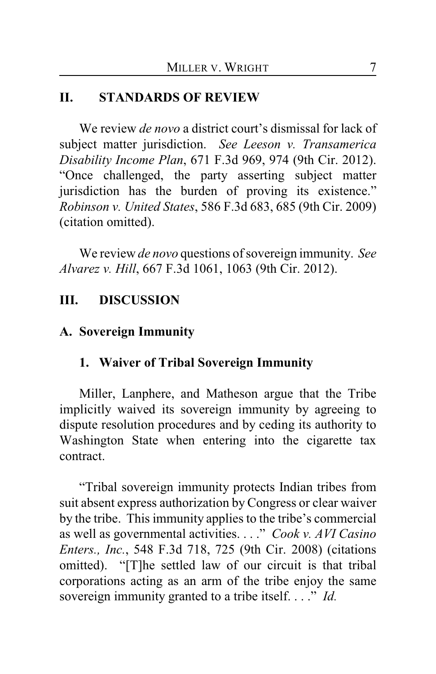### **II. STANDARDS OF REVIEW**

We review *de novo* a district court's dismissal for lack of subject matter jurisdiction. *See Leeson v. Transamerica Disability Income Plan*, 671 F.3d 969, 974 (9th Cir. 2012). "Once challenged, the party asserting subject matter jurisdiction has the burden of proving its existence." *Robinson v. United States*, 586 F.3d 683, 685 (9th Cir. 2009) (citation omitted).

We review *de novo* questions of sovereign immunity. *See Alvarez v. Hill*, 667 F.3d 1061, 1063 (9th Cir. 2012).

### **III. DISCUSSION**

#### **A. Sovereign Immunity**

### **1. Waiver of Tribal Sovereign Immunity**

Miller, Lanphere, and Matheson argue that the Tribe implicitly waived its sovereign immunity by agreeing to dispute resolution procedures and by ceding its authority to Washington State when entering into the cigarette tax contract.

"Tribal sovereign immunity protects Indian tribes from suit absent express authorization by Congress or clear waiver by the tribe. This immunity applies to the tribe's commercial as well as governmental activities. . . ." *Cook v. AVI Casino Enters., Inc.*, 548 F.3d 718, 725 (9th Cir. 2008) (citations omitted). "[T]he settled law of our circuit is that tribal corporations acting as an arm of the tribe enjoy the same sovereign immunity granted to a tribe itself. . . ." *Id.*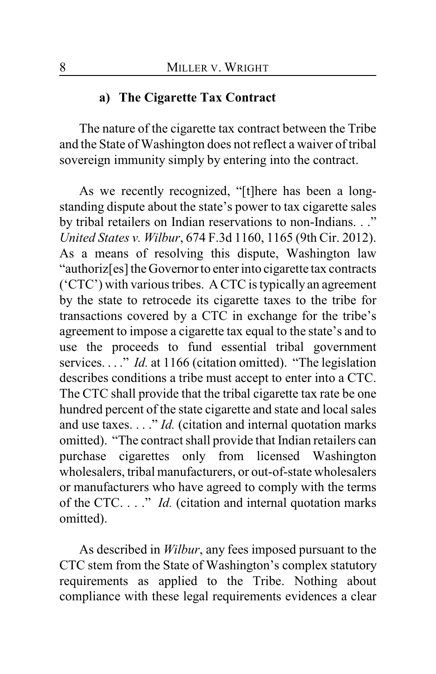#### **a) The Cigarette Tax Contract**

The nature of the cigarette tax contract between the Tribe and the State of Washington does not reflect a waiver of tribal sovereign immunity simply by entering into the contract.

As we recently recognized, "[t]here has been a longstanding dispute about the state's power to tax cigarette sales by tribal retailers on Indian reservations to non-Indians. . ." *United States v. Wilbur*, 674 F.3d 1160, 1165 (9th Cir. 2012). As a means of resolving this dispute, Washington law "authoriz[es] the Governor to enter into cigarette tax contracts ('CTC') with various tribes. A CTC is typically an agreement by the state to retrocede its cigarette taxes to the tribe for transactions covered by a CTC in exchange for the tribe's agreement to impose a cigarette tax equal to the state's and to use the proceeds to fund essential tribal government services. . . . " *Id.* at 1166 (citation omitted). "The legislation describes conditions a tribe must accept to enter into a CTC. The CTC shall provide that the tribal cigarette tax rate be one hundred percent of the state cigarette and state and local sales and use taxes. . . ." *Id.* (citation and internal quotation marks omitted). "The contract shall provide that Indian retailers can purchase cigarettes only from licensed Washington wholesalers, tribal manufacturers, or out-of-state wholesalers or manufacturers who have agreed to comply with the terms of the CTC. . . ." *Id.* (citation and internal quotation marks omitted).

As described in *Wilbur*, any fees imposed pursuant to the CTC stem from the State of Washington's complex statutory requirements as applied to the Tribe. Nothing about compliance with these legal requirements evidences a clear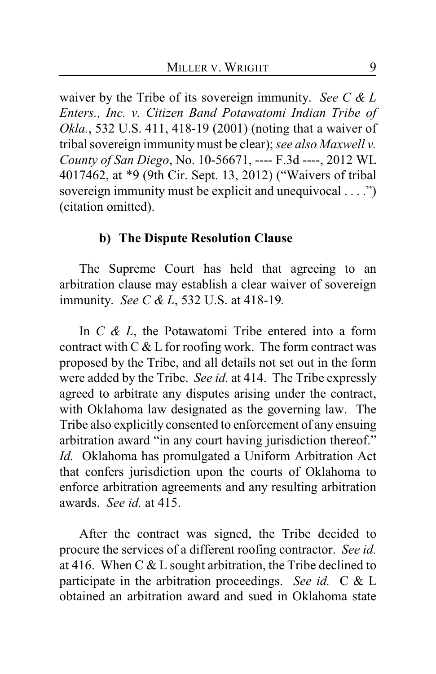waiver by the Tribe of its sovereign immunity. *See C & L Enters., Inc. v. Citizen Band Potawatomi Indian Tribe of Okla.*, 532 U.S. 411, 418-19 (2001) (noting that a waiver of tribal sovereign immunitymust be clear); *see also Maxwell v. County of San Diego*, No. 10-56671, ---- F.3d ----, 2012 WL 4017462, at \*9 (9th Cir. Sept. 13, 2012) ("Waivers of tribal sovereign immunity must be explicit and unequivocal . . . .") (citation omitted).

#### **b) The Dispute Resolution Clause**

The Supreme Court has held that agreeing to an arbitration clause may establish a clear waiver of sovereign immunity. *See C & L*, 532 U.S. at 418-19*.*

In *C & L*, the Potawatomi Tribe entered into a form contract with  $C &L$  for roofing work. The form contract was proposed by the Tribe, and all details not set out in the form were added by the Tribe. *See id.* at 414. The Tribe expressly agreed to arbitrate any disputes arising under the contract, with Oklahoma law designated as the governing law. The Tribe also explicitly consented to enforcement of any ensuing arbitration award "in any court having jurisdiction thereof." *Id.* Oklahoma has promulgated a Uniform Arbitration Act that confers jurisdiction upon the courts of Oklahoma to enforce arbitration agreements and any resulting arbitration awards. *See id.* at 415.

After the contract was signed, the Tribe decided to procure the services of a different roofing contractor. *See id.* at 416. When C  $&$  L sought arbitration, the Tribe declined to participate in the arbitration proceedings. *See id.* C & L obtained an arbitration award and sued in Oklahoma state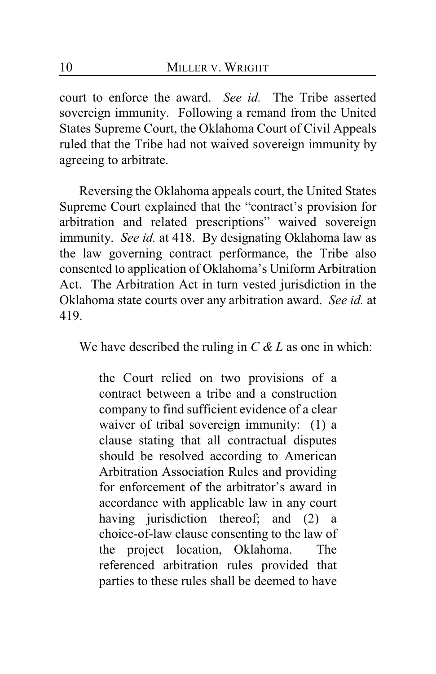court to enforce the award. *See id.* The Tribe asserted sovereign immunity. Following a remand from the United States Supreme Court, the Oklahoma Court of Civil Appeals ruled that the Tribe had not waived sovereign immunity by agreeing to arbitrate.

Reversing the Oklahoma appeals court, the United States Supreme Court explained that the "contract's provision for arbitration and related prescriptions" waived sovereign immunity. *See id.* at 418. By designating Oklahoma law as the law governing contract performance, the Tribe also consented to application of Oklahoma's Uniform Arbitration Act. The Arbitration Act in turn vested jurisdiction in the Oklahoma state courts over any arbitration award. *See id.* at 419.

We have described the ruling in *C & L* as one in which:

the Court relied on two provisions of a contract between a tribe and a construction company to find sufficient evidence of a clear waiver of tribal sovereign immunity: (1) a clause stating that all contractual disputes should be resolved according to American Arbitration Association Rules and providing for enforcement of the arbitrator's award in accordance with applicable law in any court having jurisdiction thereof; and (2) a choice-of-law clause consenting to the law of the project location, Oklahoma. The referenced arbitration rules provided that parties to these rules shall be deemed to have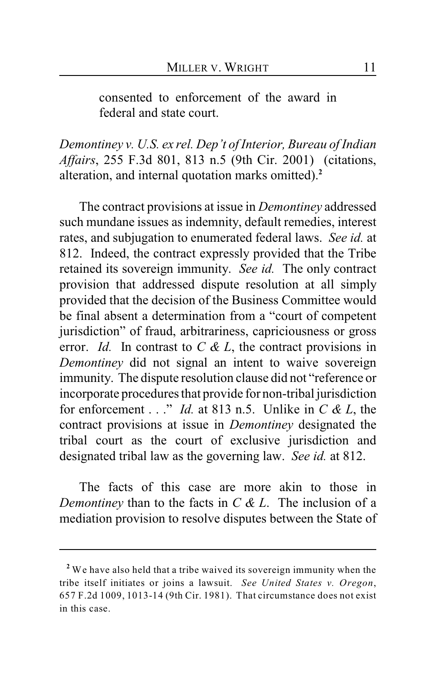consented to enforcement of the award in federal and state court.

*Demontiney v. U.S. ex rel. Dep't of Interior, Bureau of Indian Affairs*, 255 F.3d 801, 813 n.5 (9th Cir. 2001) (citations, alteration, and internal quotation marks omitted).**<sup>2</sup>**

The contract provisions at issue in *Demontiney* addressed such mundane issues as indemnity, default remedies, interest rates, and subjugation to enumerated federal laws. *See id.* at 812. Indeed, the contract expressly provided that the Tribe retained its sovereign immunity. *See id.* The only contract provision that addressed dispute resolution at all simply provided that the decision of the Business Committee would be final absent a determination from a "court of competent jurisdiction" of fraud, arbitrariness, capriciousness or gross error. *Id.* In contrast to *C & L*, the contract provisions in *Demontiney* did not signal an intent to waive sovereign immunity. The dispute resolution clause did not "reference or incorporate procedures that provide for non-tribal jurisdiction for enforcement . . ." *Id.* at 813 n.5.Unlike in *C & L*, the contract provisions at issue in *Demontiney* designated the tribal court as the court of exclusive jurisdiction and designated tribal law as the governing law. *See id.* at 812.

The facts of this case are more akin to those in *Demontiney* than to the facts in *C & L*. The inclusion of a mediation provision to resolve disputes between the State of

We have also held that a tribe waived its sovereign immunity when the **<sup>2</sup>** tribe itself initiates or joins a lawsuit. *See United States v. Oregon*, 657 F.2d 1009, 1013-14 (9th Cir. 1981). That circumstance does not exist in this case.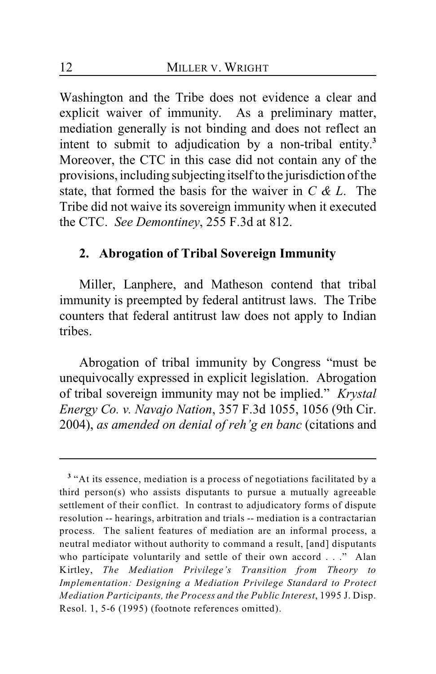Washington and the Tribe does not evidence a clear and explicit waiver of immunity. As a preliminary matter, mediation generally is not binding and does not reflect an intent to submit to adjudication by a non-tribal entity.**<sup>3</sup>** Moreover, the CTC in this case did not contain any of the provisions, including subjecting itself to the jurisdiction of the state, that formed the basis for the waiver in *C & L*. The Tribe did not waive its sovereign immunity when it executed the CTC. *See Demontiney*, 255 F.3d at 812.

#### **2. Abrogation of Tribal Sovereign Immunity**

Miller, Lanphere, and Matheson contend that tribal immunity is preempted by federal antitrust laws. The Tribe counters that federal antitrust law does not apply to Indian tribes.

Abrogation of tribal immunity by Congress "must be unequivocally expressed in explicit legislation. Abrogation of tribal sovereign immunity may not be implied." *Krystal Energy Co. v. Navajo Nation*, 357 F.3d 1055, 1056 (9th Cir. 2004), *as amended on denial of reh'g en banc* (citations and

<sup>&</sup>lt;sup>3</sup> "At its essence, mediation is a process of negotiations facilitated by a third person(s) who assists disputants to pursue a mutually agreeable settlement of their conflict. In contrast to adjudicatory forms of dispute resolution -- hearings, arbitration and trials -- mediation is a contractarian process. The salient features of mediation are an informal process, a neutral mediator without authority to command a result, [and] disputants who participate voluntarily and settle of their own accord . . ." Alan Kirtley, *The Mediation Privilege's Transition from Theory to Implementation: Designing a Mediation Privilege Standard to Protect Mediation Participants, the Process and the Public Interest*, 1995 J. Disp. Resol. 1, 5-6 (1995) (footnote references omitted).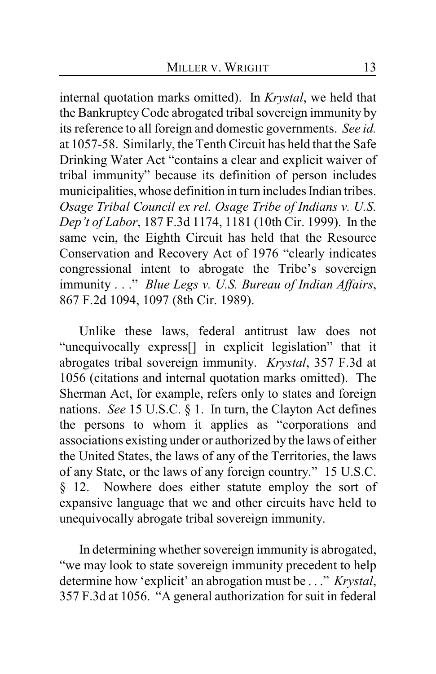internal quotation marks omitted). In *Krystal*, we held that the BankruptcyCode abrogated tribal sovereign immunity by its reference to all foreign and domestic governments. *See id.* at 1057-58. Similarly, the Tenth Circuit has held that the Safe Drinking Water Act "contains a clear and explicit waiver of tribal immunity" because its definition of person includes municipalities, whose definition in turn includes Indian tribes. *Osage Tribal Council ex rel. Osage Tribe of Indians v. U.S. Dep't of Labor*, 187 F.3d 1174, 1181 (10th Cir. 1999). In the same vein, the Eighth Circuit has held that the Resource Conservation and Recovery Act of 1976 "clearly indicates congressional intent to abrogate the Tribe's sovereign immunity . . ." *Blue Legs v. U.S. Bureau of Indian Affairs*, 867 F.2d 1094, 1097 (8th Cir. 1989).

Unlike these laws, federal antitrust law does not "unequivocally express[] in explicit legislation" that it abrogates tribal sovereign immunity. *Krystal*, 357 F.3d at 1056 (citations and internal quotation marks omitted). The Sherman Act, for example, refers only to states and foreign nations. *See* 15 U.S.C. § 1. In turn, the Clayton Act defines the persons to whom it applies as "corporations and associations existing under or authorized by the laws of either the United States, the laws of any of the Territories, the laws of any State, or the laws of any foreign country." 15 U.S.C. § 12. Nowhere does either statute employ the sort of expansive language that we and other circuits have held to unequivocally abrogate tribal sovereign immunity.

In determining whether sovereign immunity is abrogated, "we may look to state sovereign immunity precedent to help determine how 'explicit' an abrogation must be . . ." *Krystal*, 357 F.3d at 1056. "A general authorization for suit in federal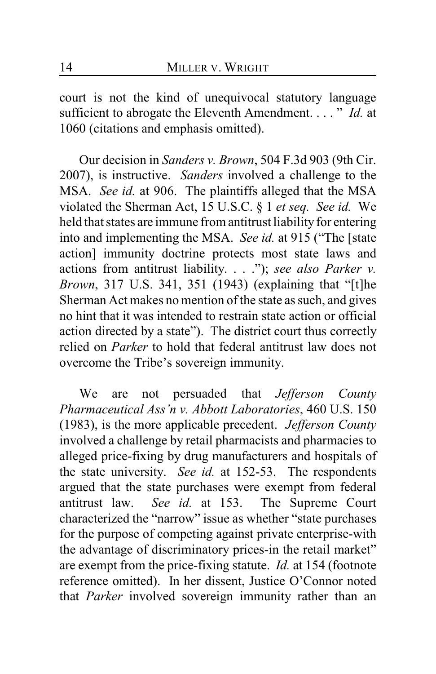court is not the kind of unequivocal statutory language sufficient to abrogate the Eleventh Amendment. . . . " *Id.* at 1060 (citations and emphasis omitted).

Our decision in *Sanders v. Brown*, 504 F.3d 903 (9th Cir. 2007), is instructive. *Sanders* involved a challenge to the MSA. *See id.* at 906. The plaintiffs alleged that the MSA violated the Sherman Act, 15 U.S.C. § 1 *et seq. See id.* We held that states are immune from antitrust liability for entering into and implementing the MSA. *See id.* at 915 ("The [state action] immunity doctrine protects most state laws and actions from antitrust liability. . . ."); *see also Parker v. Brown*, 317 U.S. 341, 351 (1943) (explaining that "[t]he Sherman Act makes no mention of the state as such, and gives no hint that it was intended to restrain state action or official action directed by a state"). The district court thus correctly relied on *Parker* to hold that federal antitrust law does not overcome the Tribe's sovereign immunity.

We are not persuaded that *Jefferson County Pharmaceutical Ass'n v. Abbott Laboratories*, 460 U.S. 150 (1983), is the more applicable precedent. *Jefferson County* involved a challenge by retail pharmacists and pharmacies to alleged price-fixing by drug manufacturers and hospitals of the state university. *See id.* at 152-53. The respondents argued that the state purchases were exempt from federal antitrust law. *See id.* at 153. The Supreme Court characterized the "narrow" issue as whether "state purchases for the purpose of competing against private enterprise-with the advantage of discriminatory prices-in the retail market" are exempt from the price-fixing statute. *Id.* at 154 (footnote reference omitted). In her dissent, Justice O'Connor noted that *Parker* involved sovereign immunity rather than an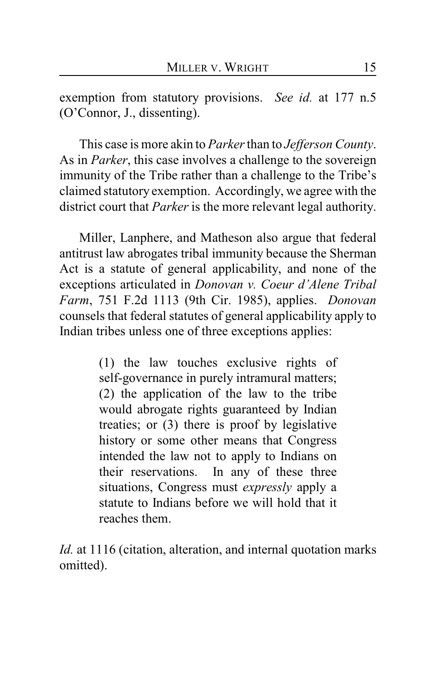exemption from statutory provisions. *See id.* at 177 n.5 (O'Connor, J., dissenting).

This case is more akin to *Parker* than to *Jefferson County*. As in *Parker*, this case involves a challenge to the sovereign immunity of the Tribe rather than a challenge to the Tribe's claimed statutory exemption. Accordingly, we agree with the district court that *Parker* is the more relevant legal authority.

Miller, Lanphere, and Matheson also argue that federal antitrust law abrogates tribal immunity because the Sherman Act is a statute of general applicability, and none of the exceptions articulated in *Donovan v. Coeur d'Alene Tribal Farm*, 751 F.2d 1113 (9th Cir. 1985), applies. *Donovan* counsels that federal statutes of general applicability apply to Indian tribes unless one of three exceptions applies:

> (1) the law touches exclusive rights of self-governance in purely intramural matters; (2) the application of the law to the tribe would abrogate rights guaranteed by Indian treaties; or (3) there is proof by legislative history or some other means that Congress intended the law not to apply to Indians on their reservations. In any of these three situations, Congress must *expressly* apply a statute to Indians before we will hold that it reaches them.

*Id.* at 1116 (citation, alteration, and internal quotation marks omitted).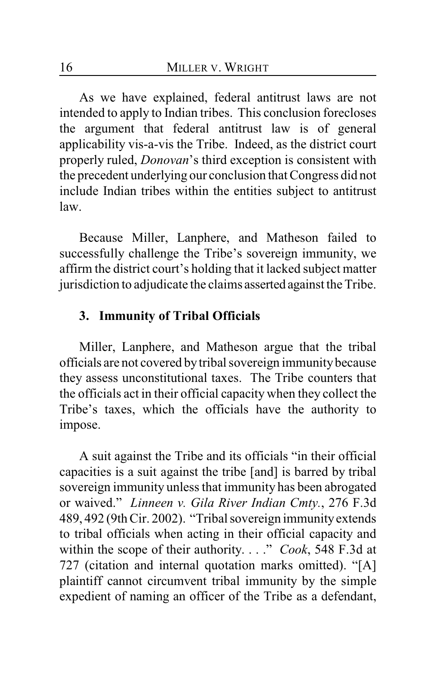As we have explained, federal antitrust laws are not intended to apply to Indian tribes. This conclusion forecloses the argument that federal antitrust law is of general applicability vis-a-vis the Tribe. Indeed, as the district court properly ruled, *Donovan*'s third exception is consistent with the precedent underlying our conclusion that Congress did not include Indian tribes within the entities subject to antitrust law.

Because Miller, Lanphere, and Matheson failed to successfully challenge the Tribe's sovereign immunity, we affirm the district court's holding that it lacked subject matter jurisdiction to adjudicate the claims asserted against the Tribe.

### **3. Immunity of Tribal Officials**

Miller, Lanphere, and Matheson argue that the tribal officials are not covered by tribal sovereign immunity because they assess unconstitutional taxes. The Tribe counters that the officials act in their official capacity when they collect the Tribe's taxes, which the officials have the authority to impose.

A suit against the Tribe and its officials "in their official capacities is a suit against the tribe [and] is barred by tribal sovereign immunity unless that immunity has been abrogated or waived." *Linneen v. Gila River Indian Cmty.*, 276 F.3d 489, 492 (9th Cir. 2002). "Tribal sovereign immunity extends to tribal officials when acting in their official capacity and within the scope of their authority. . . ." *Cook*, 548 F.3d at 727 (citation and internal quotation marks omitted). "[A] plaintiff cannot circumvent tribal immunity by the simple expedient of naming an officer of the Tribe as a defendant,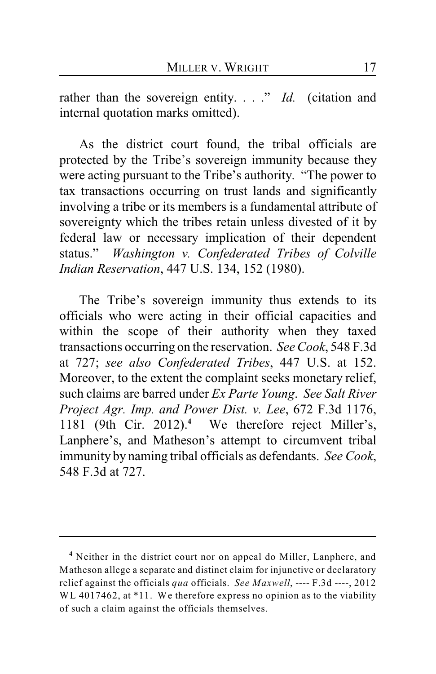rather than the sovereign entity. . . ." *Id.* (citation and internal quotation marks omitted).

As the district court found, the tribal officials are protected by the Tribe's sovereign immunity because they were acting pursuant to the Tribe's authority. "The power to tax transactions occurring on trust lands and significantly involving a tribe or its members is a fundamental attribute of sovereignty which the tribes retain unless divested of it by federal law or necessary implication of their dependent status." *Washington v. Confederated Tribes of Colville Indian Reservation*, 447 U.S. 134, 152 (1980).

The Tribe's sovereign immunity thus extends to its officials who were acting in their official capacities and within the scope of their authority when they taxed transactions occurring on the reservation. *See Cook*, 548 F.3d at 727; *see also Confederated Tribes*, 447 U.S. at 152. Moreover, to the extent the complaint seeks monetary relief, such claims are barred under *Ex Parte Young*. *See Salt River Project Agr. Imp. and Power Dist. v. Lee*, 672 F.3d 1176, 1181 (9th Cir. 2012).<sup>4</sup> We therefore reject Miller's, Lanphere's, and Matheson's attempt to circumvent tribal immunity by naming tribal officials as defendants. *See Cook*, 548 F.3d at 727.

<sup>&</sup>lt;sup>4</sup> Neither in the district court nor on appeal do Miller, Lanphere, and Matheson allege a separate and distinct claim for injunctive or declaratory relief against the officials *qua* officials. *See Maxwell*, ---- F.3d ----, 2012 WL 4017462, at \*11. We therefore express no opinion as to the viability of such a claim against the officials themselves.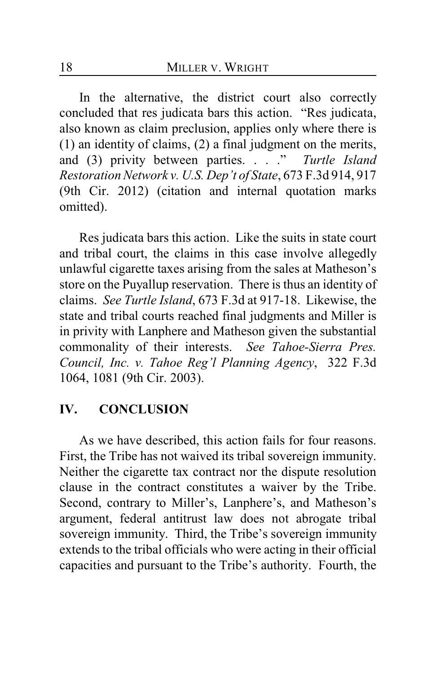In the alternative, the district court also correctly concluded that res judicata bars this action. "Res judicata, also known as claim preclusion, applies only where there is (1) an identity of claims, (2) a final judgment on the merits, and (3) privity between parties. . . ." *Turtle Island Restoration Network v. U.S. Dep't of State*, 673 F.3d 914, 917 (9th Cir. 2012) (citation and internal quotation marks omitted).

Res judicata bars this action. Like the suits in state court and tribal court, the claims in this case involve allegedly unlawful cigarette taxes arising from the sales at Matheson's store on the Puyallup reservation. There is thus an identity of claims. *See Turtle Island*, 673 F.3d at 917-18. Likewise, the state and tribal courts reached final judgments and Miller is in privity with Lanphere and Matheson given the substantial commonality of their interests. *See Tahoe-Sierra Pres. Council, Inc. v. Tahoe Reg'l Planning Agency*, 322 F.3d 1064, 1081 (9th Cir. 2003).

## **IV. CONCLUSION**

As we have described, this action fails for four reasons. First, the Tribe has not waived its tribal sovereign immunity. Neither the cigarette tax contract nor the dispute resolution clause in the contract constitutes a waiver by the Tribe. Second, contrary to Miller's, Lanphere's, and Matheson's argument, federal antitrust law does not abrogate tribal sovereign immunity. Third, the Tribe's sovereign immunity extends to the tribal officials who were acting in their official capacities and pursuant to the Tribe's authority. Fourth, the